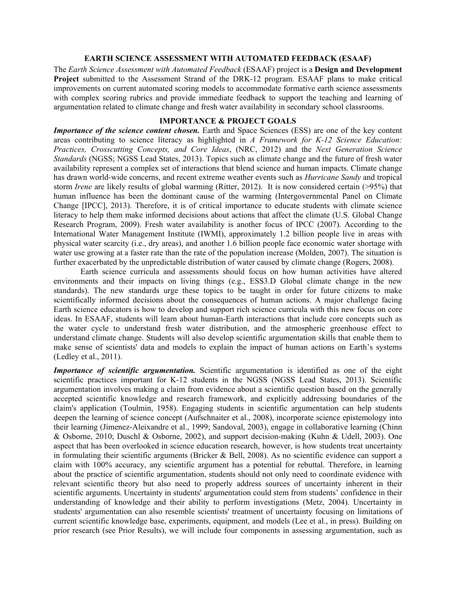### **EARTH SCIENCE ASSESSMENT WITH AUTOMATED FEEDBACK (ESAAF)**

The *Earth Science Assessment with Automated Feedback* (ESAAF) project is a **Design and Development Project** submitted to the Assessment Strand of the DRK-12 program. ESAAF plans to make critical improvements on current automated scoring models to accommodate formative earth science assessments with complex scoring rubrics and provide immediate feedback to support the teaching and learning of argumentation related to climate change and fresh water availability in secondary school classrooms.

# **IMPORTANCE & PROJECT GOALS**

*Importance of the science content chosen.* Earth and Space Sciences (ESS) are one of the key content areas contributing to science literacy as highlighted in *A Framework for K-12 Science Education: Practices, Crosscutting Concepts, and Core Ideas*, (NRC, 2012) and the *Next Generation Science Standards* (NGSS; NGSS Lead States, 2013). Topics such as climate change and the future of fresh water availability represent a complex set of interactions that blend science and human impacts. Climate change has drawn world-wide concerns, and recent extreme weather events such as *Hurricane Sandy* and tropical storm *Irene* are likely results of global warming (Ritter, 2012). It is now considered certain (>95%) that human influence has been the dominant cause of the warming (Intergovernmental Panel on Climate Change [IPCC], 2013). Therefore, it is of critical importance to educate students with climate science literacy to help them make informed decisions about actions that affect the climate (U.S. Global Change Research Program, 2009). Fresh water availability is another focus of IPCC (2007). According to the International Water Management Institute (IWMI), approximately 1.2 billion people live in areas with physical water scarcity (i.e., dry areas), and another 1.6 billion people face economic water shortage with water use growing at a faster rate than the rate of the population increase (Molden, 2007). The situation is further exacerbated by the unpredictable distribution of water caused by climate change (Rogers, 2008).

Earth science curricula and assessments should focus on how human activities have altered environments and their impacts on living things (e.g., ESS3.D Global climate change in the new standards). The new standards urge these topics to be taught in order for future citizens to make scientifically informed decisions about the consequences of human actions. A major challenge facing Earth science educators is how to develop and support rich science curricula with this new focus on core ideas. In ESAAF, students will learn about human-Earth interactions that include core concepts such as the water cycle to understand fresh water distribution, and the atmospheric greenhouse effect to understand climate change. Students will also develop scientific argumentation skills that enable them to make sense of scientists' data and models to explain the impact of human actions on Earth's systems (Ledley et al., 2011).

*Importance of scientific argumentation.* Scientific argumentation is identified as one of the eight scientific practices important for K-12 students in the NGSS (NGSS Lead States, 2013). Scientific argumentation involves making a claim from evidence about a scientific question based on the generally accepted scientific knowledge and research framework, and explicitly addressing boundaries of the claim's application (Toulmin, 1958). Engaging students in scientific argumentation can help students deepen the learning of science concept (Aufschnaiter et al., 2008), incorporate science epistemology into their learning (Jimenez-Aleixandre et al., 1999; Sandoval, 2003), engage in collaborative learning (Chinn & Osborne, 2010; Duschl & Osborne, 2002), and support decision-making (Kuhn & Udell, 2003). One aspect that has been overlooked in science education research, however, is how students treat uncertainty in formulating their scientific arguments (Bricker & Bell, 2008). As no scientific evidence can support a claim with 100% accuracy, any scientific argument has a potential for rebuttal. Therefore, in learning about the practice of scientific argumentation, students should not only need to coordinate evidence with relevant scientific theory but also need to properly address sources of uncertainty inherent in their scientific arguments. Uncertainty in students' argumentation could stem from students' confidence in their understanding of knowledge and their ability to perform investigations (Metz, 2004). Uncertainty in students' argumentation can also resemble scientists' treatment of uncertainty focusing on limitations of current scientific knowledge base, experiments, equipment, and models (Lee et al., in press). Building on prior research (see Prior Results), we will include four components in assessing argumentation, such as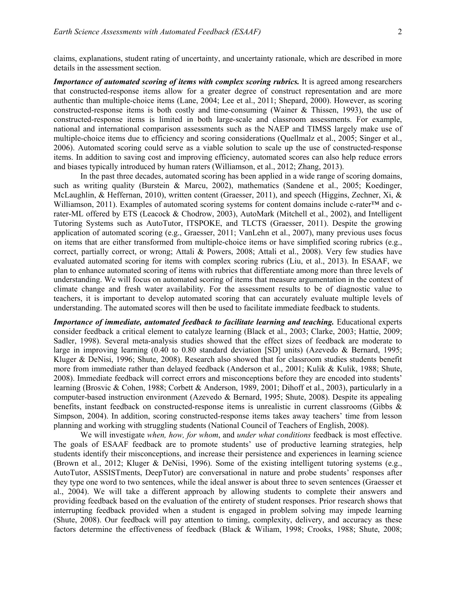claims, explanations, student rating of uncertainty, and uncertainty rationale, which are described in more details in the assessment section.

*Importance of automated scoring of items with complex scoring rubrics.* It is agreed among researchers that constructed-response items allow for a greater degree of construct representation and are more authentic than multiple-choice items (Lane, 2004; Lee et al., 2011; Shepard, 2000). However, as scoring constructed-response items is both costly and time-consuming (Wainer & Thissen, 1993), the use of constructed-response items is limited in both large-scale and classroom assessments. For example, national and international comparison assessments such as the NAEP and TIMSS largely make use of multiple-choice items due to efficiency and scoring considerations (Quellmalz et al., 2005; Singer et al., 2006). Automated scoring could serve as a viable solution to scale up the use of constructed-response items. In addition to saving cost and improving efficiency, automated scores can also help reduce errors and biases typically introduced by human raters (Williamson, et al., 2012; Zhang, 2013).

In the past three decades, automated scoring has been applied in a wide range of scoring domains, such as writing quality (Burstein & Marcu, 2002), mathematics (Sandene et al., 2005; Koedinger, McLaughlin, & Heffernan, 2010), written content (Graesser, 2011), and speech (Higgins, Zechner, Xi, & Williamson, 2011). Examples of automated scoring systems for content domains include c-rater™ and crater-ML offered by ETS (Leacock & Chodrow, 2003), AutoMark (Mitchell et al., 2002), and Intelligent Tutoring Systems such as AutoTutor, ITSPOKE, and TLCTS (Graesser, 2011). Despite the growing application of automated scoring (e.g., Graesser, 2011; VanLehn et al., 2007), many previous uses focus on items that are either transformed from multiple-choice items or have simplified scoring rubrics (e.g., correct, partially correct, or wrong; Attali & Powers, 2008; Attali et al., 2008). Very few studies have evaluated automated scoring for items with complex scoring rubrics (Liu, et al., 2013). In ESAAF, we plan to enhance automated scoring of items with rubrics that differentiate among more than three levels of understanding. We will focus on automated scoring of items that measure argumentation in the context of climate change and fresh water availability. For the assessment results to be of diagnostic value to teachers, it is important to develop automated scoring that can accurately evaluate multiple levels of understanding. The automated scores will then be used to facilitate immediate feedback to students.

*Importance of immediate, automated feedback to facilitate learning and teaching.* Educational experts consider feedback a critical element to catalyze learning (Black et al., 2003; Clarke, 2003; Hattie, 2009; Sadler, 1998). Several meta-analysis studies showed that the effect sizes of feedback are moderate to large in improving learning (0.40 to 0.80 standard deviation [SD] units) (Azevedo & Bernard, 1995; Kluger & DeNisi, 1996; Shute, 2008). Research also showed that for classroom studies students benefit more from immediate rather than delayed feedback (Anderson et al., 2001; Kulik & Kulik, 1988; Shute, 2008). Immediate feedback will correct errors and misconceptions before they are encoded into students' learning (Brosvic & Cohen, 1988; Corbett & Anderson, 1989, 2001; Dihoff et al., 2003), particularly in a computer-based instruction environment (Azevedo & Bernard, 1995; Shute, 2008). Despite its appealing benefits, instant feedback on constructed-response items is unrealistic in current classrooms (Gibbs & Simpson, 2004). In addition, scoring constructed-response items takes away teachers' time from lesson planning and working with struggling students (National Council of Teachers of English, 2008).

We will investigate *when, how, for whom*, and *under what conditions* feedback is most effective. The goals of ESAAF feedback are to promote students' use of productive learning strategies, help students identify their misconceptions, and increase their persistence and experiences in learning science (Brown et al., 2012; Kluger & DeNisi, 1996). Some of the existing intelligent tutoring systems (e.g., AutoTutor, ASSISTments, DeepTutor) are conversational in nature and probe students' responses after they type one word to two sentences, while the ideal answer is about three to seven sentences (Graesser et al., 2004). We will take a different approach by allowing students to complete their answers and providing feedback based on the evaluation of the entirety of student responses. Prior research shows that interrupting feedback provided when a student is engaged in problem solving may impede learning (Shute, 2008). Our feedback will pay attention to timing, complexity, delivery, and accuracy as these factors determine the effectiveness of feedback (Black & Wiliam, 1998; Crooks, 1988; Shute, 2008;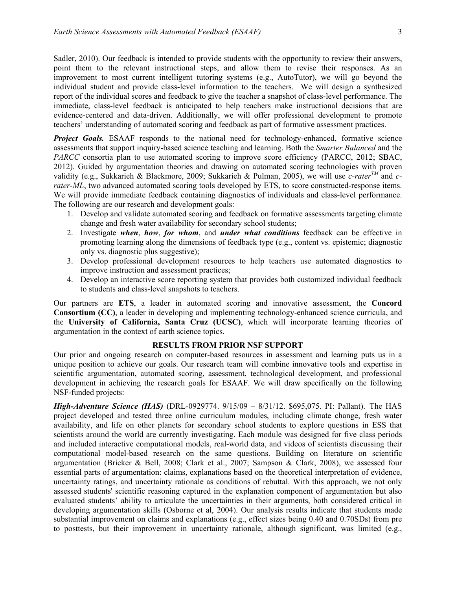Sadler, 2010). Our feedback is intended to provide students with the opportunity to review their answers, point them to the relevant instructional steps, and allow them to revise their responses. As an improvement to most current intelligent tutoring systems (e.g., AutoTutor), we will go beyond the individual student and provide class-level information to the teachers. We will design a synthesized report of the individual scores and feedback to give the teacher a snapshot of class-level performance. The immediate, class-level feedback is anticipated to help teachers make instructional decisions that are evidence-centered and data-driven. Additionally, we will offer professional development to promote teachers' understanding of automated scoring and feedback as part of formative assessment practices.

**Project Goals.** ESAAF responds to the national need for technology-enhanced, formative science assessments that support inquiry-based science teaching and learning. Both the *Smarter Balanced* and the *PARCC* consortia plan to use automated scoring to improve score efficiency (PARCC, 2012; SBAC, 2012). Guided by argumentation theories and drawing on automated scoring technologies with proven validity (e.g., Sukkarieh & Blackmore, 2009; Sukkarieh & Pulman, 2005), we will use *c-raterTM* and *crater-ML*, two advanced automated scoring tools developed by ETS, to score constructed-response items. We will provide immediate feedback containing diagnostics of individuals and class-level performance. The following are our research and development goals:

- 1. Develop and validate automated scoring and feedback on formative assessments targeting climate change and fresh water availability for secondary school students;
- 2. Investigate *when*, *how*, *for whom*, and *under what conditions* feedback can be effective in promoting learning along the dimensions of feedback type (e.g., content vs. epistemic; diagnostic only vs. diagnostic plus suggestive);
- 3. Develop professional development resources to help teachers use automated diagnostics to improve instruction and assessment practices;
- 4. Develop an interactive score reporting system that provides both customized individual feedback to students and class-level snapshots to teachers.

Our partners are **ETS**, a leader in automated scoring and innovative assessment, the **Concord Consortium (CC)**, a leader in developing and implementing technology-enhanced science curricula, and the **University of California, Santa Cruz (UCSC)**, which will incorporate learning theories of argumentation in the context of earth science topics.

# **RESULTS FROM PRIOR NSF SUPPORT**

Our prior and ongoing research on computer-based resources in assessment and learning puts us in a unique position to achieve our goals. Our research team will combine innovative tools and expertise in scientific argumentation, automated scoring, assessment, technological development, and professional development in achieving the research goals for ESAAF. We will draw specifically on the following NSF-funded projects:

*High-Adventure Science (HAS)* (DRL-0929774. 9/15/09 – 8/31/12. \$695,075. PI: Pallant). The HAS project developed and tested three online curriculum modules, including climate change, fresh water availability, and life on other planets for secondary school students to explore questions in ESS that scientists around the world are currently investigating. Each module was designed for five class periods and included interactive computational models, real-world data, and videos of scientists discussing their computational model-based research on the same questions. Building on literature on scientific argumentation (Bricker & Bell, 2008; Clark et al., 2007; Sampson & Clark, 2008), we assessed four essential parts of argumentation: claims, explanations based on the theoretical interpretation of evidence, uncertainty ratings, and uncertainty rationale as conditions of rebuttal. With this approach, we not only assessed students' scientific reasoning captured in the explanation component of argumentation but also evaluated students' ability to articulate the uncertainties in their arguments, both considered critical in developing argumentation skills (Osborne et al, 2004). Our analysis results indicate that students made substantial improvement on claims and explanations (e.g., effect sizes being 0.40 and 0.70SDs) from pre to posttests, but their improvement in uncertainty rationale, although significant, was limited (e.g.,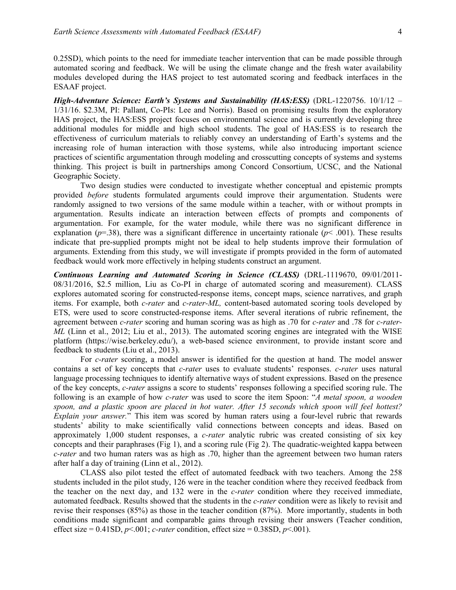0.25SD), which points to the need for immediate teacher intervention that can be made possible through automated scoring and feedback. We will be using the climate change and the fresh water availability modules developed during the HAS project to test automated scoring and feedback interfaces in the ESAAF project.

*High-Adventure Science: Earth's Systems and Sustainability (HAS:ESS)* (DRL-1220756. 10/1/12 – 1/31/16. \$2.3M, PI: Pallant, Co-PIs: Lee and Norris). Based on promising results from the exploratory HAS project, the HAS:ESS project focuses on environmental science and is currently developing three additional modules for middle and high school students. The goal of HAS:ESS is to research the effectiveness of curriculum materials to reliably convey an understanding of Earth's systems and the increasing role of human interaction with those systems, while also introducing important science practices of scientific argumentation through modeling and crosscutting concepts of systems and systems thinking. This project is built in partnerships among Concord Consortium, UCSC, and the National Geographic Society.

Two design studies were conducted to investigate whether conceptual and epistemic prompts provided *before* students formulated arguments could improve their argumentation. Students were randomly assigned to two versions of the same module within a teacher, with or without prompts in argumentation. Results indicate an interaction between effects of prompts and components of argumentation. For example, for the water module, while there was no significant difference in explanation ( $p=38$ ), there was a significant difference in uncertainty rationale ( $p< .001$ ). These results indicate that pre-supplied prompts might not be ideal to help students improve their formulation of arguments. Extending from this study, we will investigate if prompts provided in the form of automated feedback would work more effectively in helping students construct an argument.

*Continuous Learning and Automated Scoring in Science (CLASS)* (DRL-1119670, 09/01/2011- 08/31/2016, \$2.5 million, Liu as Co-PI in charge of automated scoring and measurement). CLASS explores automated scoring for constructed-response items, concept maps, science narratives, and graph items. For example, both *c-rater* and *c-rater-ML,* content-based automated scoring tools developed by ETS, were used to score constructed-response items. After several iterations of rubric refinement, the agreement between *c-rater* scoring and human scoring was as high as .70 for *c-rater* and .78 for *c-rater-ML* (Linn et al., 2012; Liu et al., 2013). The automated scoring engines are integrated with the WISE platform (https://wise.berkeley.edu/), a web-based science environment, to provide instant score and feedback to students (Liu et al., 2013).

For *c-rater* scoring, a model answer is identified for the question at hand. The model answer contains a set of key concepts that *c-rater* uses to evaluate students' responses. *c-rater* uses natural language processing techniques to identify alternative ways of student expressions. Based on the presence of the key concepts, *c-rater* assigns a score to students' responses following a specified scoring rule. The following is an example of how *c-rater* was used to score the item Spoon: "*A metal spoon, a wooden spoon, and a plastic spoon are placed in hot water. After 15 seconds which spoon will feel hottest? Explain your answer.*" This item was scored by human raters using a four-level rubric that rewards students' ability to make scientifically valid connections between concepts and ideas. Based on approximately 1,000 student responses, a *c-rater* analytic rubric was created consisting of six key concepts and their paraphrases (Fig 1), and a scoring rule (Fig 2). The quadratic-weighted kappa between *c-rater* and two human raters was as high as .70, higher than the agreement between two human raters after half a day of training (Linn et al., 2012).

CLASS also pilot tested the effect of automated feedback with two teachers. Among the 258 students included in the pilot study, 126 were in the teacher condition where they received feedback from the teacher on the next day, and 132 were in the *c-rater* condition where they received immediate, automated feedback. Results showed that the students in the *c-rater* condition were as likely to revisit and revise their responses (85%) as those in the teacher condition (87%). More importantly, students in both conditions made significant and comparable gains through revising their answers (Teacher condition, effect size =  $0.41SD$ ,  $p<.001$ ; *c*-rater condition, effect size =  $0.38SD$ ,  $p<.001$ ).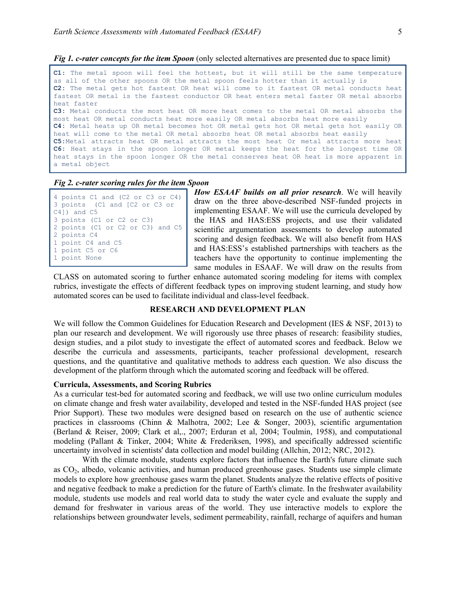*Fig 1. c-rater concepts for the item Spoon* (only selected alternatives are presented due to space limit)

```
C1: The metal spoon will feel the hottest, but it will still be the same temperature 
as all of the other spoons OR the metal spoon feels hotter than it actually is 
C2: The metal gets hot fastest OR heat will come to it fastest OR metal conducts heat 
fastest OR metal is the fastest conductor OR heat enters metal faster OR metal absorbs 
heat faster 
C3: Metal conducts the most heat OR more heat comes to the metal OR metal absorbs the 
most heat OR metal conducts heat more easily OR metal absorbs heat more easily 
C4: Metal heats up OR metal becomes hot OR metal gets hot OR metal gets hot easily OR 
heat will come to the metal OR metal absorbs heat OR metal absorbs heat easily 
C5:Metal attracts heat OR metal attracts the most heat Or metal attracts more heat
C6: Heat stays in the spoon longer OR metal keeps the heat for the longest time OR 
heat stays in the spoon longer OR the metal conserves heat OR heat is more apparent in 
a metal object
```
#### *Fig 2. c-rater scoring rules for the item Spoon*

```
4 points C1 and (C2 or C3 or C4)
3 points (C1 and [C2 or C3 or 
C4]) and C5
3 points (C1 or C2 or C3) 
2 points (C1 or C2 or C3) and C5
2 points C4 
1 point C4 and C5
1 point C5 or C6 
1 point None
```
*How ESAAF builds on all prior research*. We will heavily draw on the three above-described NSF-funded projects in implementing ESAAF. We will use the curricula developed by the HAS and HAS:ESS projects, and use their validated scientific argumentation assessments to develop automated scoring and design feedback. We will also benefit from HAS and HAS:ESS's established partnerships with teachers as the teachers have the opportunity to continue implementing the same modules in ESAAF. We will draw on the results from

CLASS on automated scoring to further enhance automated scoring modeling for items with complex rubrics, investigate the effects of different feedback types on improving student learning, and study how automated scores can be used to facilitate individual and class-level feedback.

### **RESEARCH AND DEVELOPMENT PLAN**

We will follow the Common Guidelines for Education Research and Development (IES & NSF, 2013) to plan our research and development. We will rigorously use three phases of research: feasibility studies, design studies, and a pilot study to investigate the effect of automated scores and feedback. Below we describe the curricula and assessments, participants, teacher professional development, research questions, and the quantitative and qualitative methods to address each question. We also discuss the development of the platform through which the automated scoring and feedback will be offered.

#### **Curricula, Assessments, and Scoring Rubrics**

As a curricular test-bed for automated scoring and feedback, we will use two online curriculum modules on climate change and fresh water availability, developed and tested in the NSF-funded HAS project (see Prior Support). These two modules were designed based on research on the use of authentic science practices in classrooms (Chinn & Malhotra, 2002; Lee & Songer, 2003), scientific argumentation (Berland & Reiser, 2009; Clark et al,., 2007; Erduran et al, 2004; Toulmin, 1958), and computational modeling (Pallant & Tinker, 2004; White & Frederiksen, 1998), and specifically addressed scientific uncertainty involved in scientists' data collection and model building (Allchin, 2012; NRC, 2012).

With the climate module, students explore factors that influence the Earth's future climate such as  $CO<sub>2</sub>$ , albedo, volcanic activities, and human produced greenhouse gases. Students use simple climate models to explore how greenhouse gases warm the planet. Students analyze the relative effects of positive and negative feedback to make a prediction for the future of Earth's climate. In the freshwater availability module, students use models and real world data to study the water cycle and evaluate the supply and demand for freshwater in various areas of the world. They use interactive models to explore the relationships between groundwater levels, sediment permeability, rainfall, recharge of aquifers and human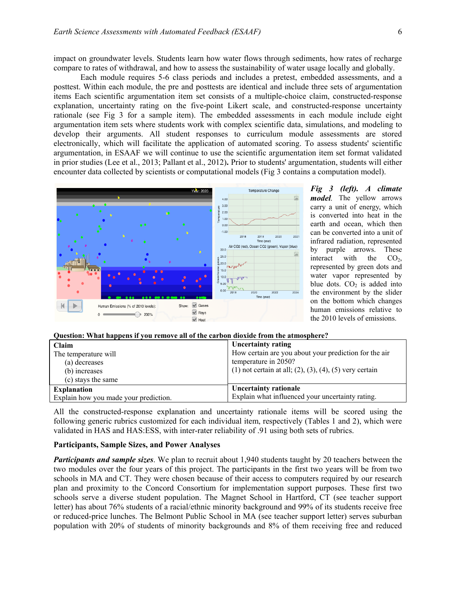impact on groundwater levels. Students learn how water flows through sediments, how rates of recharge compare to rates of withdrawal, and how to assess the sustainability of water usage locally and globally.

Each module requires 5-6 class periods and includes a pretest, embedded assessments, and a posttest. Within each module, the pre and posttests are identical and include three sets of argumentation items Each scientific argumentation item set consists of a multiple-choice claim, constructed-response explanation, uncertainty rating on the five-point Likert scale, and constructed-response uncertainty rationale (see Fig 3 for a sample item). The embedded assessments in each module include eight argumentation item sets where students work with complex scientific data, simulations, and modeling to develop their arguments. All student responses to curriculum module assessments are stored electronically, which will facilitate the application of automated scoring. To assess students' scientific argumentation, in ESAAF we will continue to use the scientific argumentation item set format validated in prior studies (Lee et al., 2013; Pallant et al., 2012)**.** Prior to students' argumentation, students will either encounter data collected by scientists or computational models (Fig 3 contains a computation model).



*Fig 3 (left). A climate model.* The yellow arrows carry a unit of energy, which is converted into heat in the earth and ocean, which then can be converted into a unit of infrared radiation, represented by purple arrows. These interact with the  $CO<sub>2</sub>$ , represented by green dots and water vapor represented by blue dots.  $CO<sub>2</sub>$  is added into the environment by the slider on the bottom which changes human emissions relative to the 2010 levels of emissions.

## **Question: What happens if you remove all of the carbon dioxide from the atmosphere?**

| Claim                                 | <b>Uncertainty rating</b>                                            |
|---------------------------------------|----------------------------------------------------------------------|
| The temperature will                  | How certain are you about your prediction for the air                |
| (a) decreases                         | temperature in 2050?                                                 |
| (b) increases                         | $(1)$ not certain at all; $(2)$ , $(3)$ , $(4)$ , $(5)$ very certain |
| (c) stays the same                    |                                                                      |
| <b>Explanation</b>                    | Uncertainty rationale                                                |
| Explain how you made your prediction. | Explain what influenced your uncertainty rating.                     |

All the constructed-response explanation and uncertainty rationale items will be scored using the following generic rubrics customized for each individual item, respectively (Tables 1 and 2), which were validated in HAS and HAS:ESS, with inter-rater reliability of .91 using both sets of rubrics.

### **Participants, Sample Sizes, and Power Analyses**

*Participants and sample sizes*. We plan to recruit about 1,940 students taught by 20 teachers between the two modules over the four years of this project. The participants in the first two years will be from two schools in MA and CT. They were chosen because of their access to computers required by our research plan and proximity to the Concord Consortium for implementation support purposes. These first two schools serve a diverse student population. The Magnet School in Hartford, CT (see teacher support letter) has about 76% students of a racial/ethnic minority background and 99% of its students receive free or reduced-price lunches. The Belmont Public School in MA (see teacher support letter) serves suburban population with 20% of students of minority backgrounds and 8% of them receiving free and reduced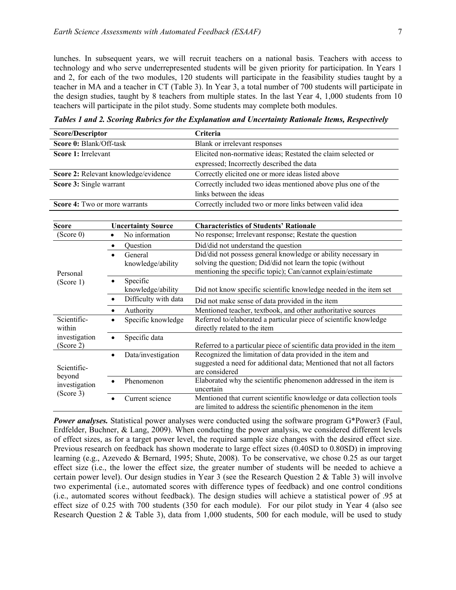lunches. In subsequent years, we will recruit teachers on a national basis. Teachers with access to technology and who serve underrepresented students will be given priority for participation. In Years 1 and 2, for each of the two modules, 120 students will participate in the feasibility studies taught by a teacher in MA and a teacher in CT (Table 3). In Year 3, a total number of 700 students will participate in the design studies, taught by 8 teachers from multiple states. In the last Year 4, 1,000 students from 10 teachers will participate in the pilot study. Some students may complete both modules.

| <b>Score/Descriptor</b>                |                                      | Criteria                                                               |  |
|----------------------------------------|--------------------------------------|------------------------------------------------------------------------|--|
| Score 0: Blank/Off-task                |                                      | Blank or irrelevant responses                                          |  |
| Score 1: Irrelevant                    |                                      | Elicited non-normative ideas; Restated the claim selected or           |  |
|                                        |                                      | expressed; Incorrectly described the data                              |  |
|                                        | Score 2: Relevant knowledge/evidence | Correctly elicited one or more ideas listed above                      |  |
| Score 3: Single warrant                |                                      | Correctly included two ideas mentioned above plus one of the           |  |
|                                        |                                      | links between the ideas                                                |  |
| Score 4: Two or more warrants          |                                      | Correctly included two or more links between valid idea                |  |
|                                        |                                      |                                                                        |  |
| <b>Score</b>                           | <b>Uncertainty Source</b>            | <b>Characteristics of Students' Rationale</b>                          |  |
| (Score 0)                              | No information<br>$\bullet$          | No response; Irrelevant response; Restate the question                 |  |
|                                        | Question<br>$\bullet$                | Did/did not understand the question                                    |  |
|                                        | General<br>$\bullet$                 | Did/did not possess general knowledge or ability necessary in          |  |
|                                        | knowledge/ability                    | solving the question; Did/did not learn the topic (without             |  |
| Personal                               |                                      | mentioning the specific topic); Can/cannot explain/estimate            |  |
| (Score 1)                              | Specific<br>$\bullet$                |                                                                        |  |
|                                        | knowledge/ability                    | Did not know specific scientific knowledge needed in the item set      |  |
|                                        | Difficulty with data<br>$\bullet$    | Did not make sense of data provided in the item                        |  |
|                                        | Authority<br>$\bullet$               | Mentioned teacher, textbook, and other authoritative sources           |  |
| Scientific-                            | Specific knowledge<br>$\bullet$      | Referred to/elaborated a particular piece of scientific knowledge      |  |
| within                                 |                                      | directly related to the item                                           |  |
| investigation                          | Specific data<br>$\bullet$           |                                                                        |  |
| (Score 2)                              |                                      | Referred to a particular piece of scientific data provided in the item |  |
|                                        | Data/investigation<br>$\bullet$      | Recognized the limitation of data provided in the item and             |  |
| Scientific-<br>beyond<br>investigation |                                      | suggested a need for additional data; Mentioned that not all factors   |  |
|                                        |                                      | are considered                                                         |  |
|                                        | Phenomenon                           | Elaborated why the scientific phenomenon addressed in the item is      |  |
| (Score 3)                              |                                      | uncertain                                                              |  |
|                                        | Current science                      | Mentioned that current scientific knowledge or data collection tools   |  |
|                                        |                                      | are limited to address the scientific phenomenon in the item           |  |

*Tables 1 and 2. Scoring Rubrics for the Explanation and Uncertainty Rationale Items, Respectively* 

*Power analyses.* Statistical power analyses were conducted using the software program G\*Power3 (Faul, Erdfelder, Buchner, & Lang, 2009). When conducting the power analysis, we considered different levels of effect sizes, as for a target power level, the required sample size changes with the desired effect size. Previous research on feedback has shown moderate to large effect sizes (0.40SD to 0.80SD) in improving learning (e.g., Azevedo & Bernard, 1995; Shute, 2008). To be conservative, we chose 0.25 as our target effect size (i.e., the lower the effect size, the greater number of students will be needed to achieve a certain power level). Our design studies in Year 3 (see the Research Question 2 & Table 3) will involve two experimental (i.e., automated scores with difference types of feedback) and one control conditions (i.e., automated scores without feedback). The design studies will achieve a statistical power of .95 at effect size of 0.25 with 700 students (350 for each module). For our pilot study in Year 4 (also see Research Question 2 & Table 3), data from 1,000 students, 500 for each module, will be used to study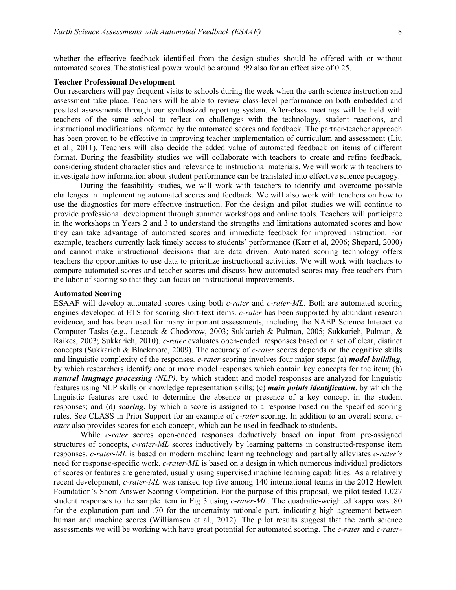whether the effective feedback identified from the design studies should be offered with or without automated scores. The statistical power would be around .99 also for an effect size of 0.25.

## **Teacher Professional Development**

Our researchers will pay frequent visits to schools during the week when the earth science instruction and assessment take place. Teachers will be able to review class-level performance on both embedded and posttest assessments through our synthesized reporting system. After-class meetings will be held with teachers of the same school to reflect on challenges with the technology, student reactions, and instructional modifications informed by the automated scores and feedback. The partner-teacher approach has been proven to be effective in improving teacher implementation of curriculum and assessment (Liu et al., 2011). Teachers will also decide the added value of automated feedback on items of different format. During the feasibility studies we will collaborate with teachers to create and refine feedback, considering student characteristics and relevance to instructional materials. We will work with teachers to investigate how information about student performance can be translated into effective science pedagogy.

During the feasibility studies, we will work with teachers to identify and overcome possible challenges in implementing automated scores and feedback. We will also work with teachers on how to use the diagnostics for more effective instruction. For the design and pilot studies we will continue to provide professional development through summer workshops and online tools. Teachers will participate in the workshops in Years 2 and 3 to understand the strengths and limitations automated scores and how they can take advantage of automated scores and immediate feedback for improved instruction. For example, teachers currently lack timely access to students' performance (Kerr et al, 2006; Shepard, 2000) and cannot make instructional decisions that are data driven. Automated scoring technology offers teachers the opportunities to use data to prioritize instructional activities. We will work with teachers to compare automated scores and teacher scores and discuss how automated scores may free teachers from the labor of scoring so that they can focus on instructional improvements.

#### **Automated Scoring**

ESAAF will develop automated scores using both *c-rater* and *c-rater-ML*. Both are automated scoring engines developed at ETS for scoring short-text items. *c-rater* has been supported by abundant research evidence, and has been used for many important assessments, including the NAEP Science Interactive Computer Tasks (e.g., Leacock & Chodorow, 2003; Sukkarieh & Pulman, 2005; Sukkarieh, Pulman, & Raikes, 2003; Sukkarieh, 2010). *c-rater* evaluates open-ended responses based on a set of clear, distinct concepts (Sukkarieh & Blackmore, 2009). The accuracy of *c-rater* scores depends on the cognitive skills and linguistic complexity of the responses. *c-rater* scoring involves four major steps: (a) *model building,*  by which researchers identify one or more model responses which contain key concepts for the item; (b) *natural language processing (NLP)*, by which student and model responses are analyzed for linguistic features using NLP skills or knowledge representation skills; (c) *main points identification*, by which the linguistic features are used to determine the absence or presence of a key concept in the student responses; and (d) *scoring*, by which a score is assigned to a response based on the specified scoring rules. See CLASS in Prior Support for an example of *c-rater* scoring. In addition to an overall score, *crater* also provides scores for each concept, which can be used in feedback to students.

While *c-rater* scores open-ended responses deductively based on input from pre-assigned structures of concepts, *c-rater-ML* scores inductively by learning patterns in constructed-response item responses. *c-rater-ML* is based on modern machine learning technology and partially alleviates *c-rater's* need for response-specific work. *c-rater-ML* is based on a design in which numerous individual predictors of scores or features are generated, usually using supervised machine learning capabilities. As a relatively recent development, *c-rater-ML* was ranked top five among 140 international teams in the 2012 Hewlett Foundation's Short Answer Scoring Competition. For the purpose of this proposal, we pilot tested 1,027 student responses to the sample item in Fig 3 using *c-rater-ML*. The quadratic-weighted kappa was .80 for the explanation part and .70 for the uncertainty rationale part, indicating high agreement between human and machine scores (Williamson et al., 2012). The pilot results suggest that the earth science assessments we will be working with have great potential for automated scoring. The *c-rater* and *c-rater-*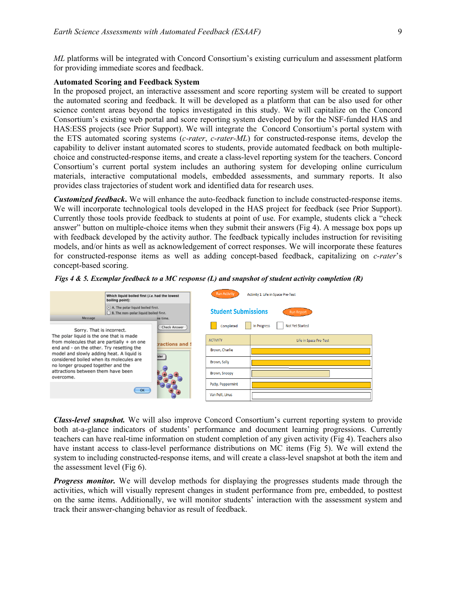*ML* platforms will be integrated with Concord Consortium's existing curriculum and assessment platform for providing immediate scores and feedback.

# **Automated Scoring and Feedback System**

In the proposed project, an interactive assessment and score reporting system will be created to support the automated scoring and feedback. It will be developed as a platform that can be also used for other science content areas beyond the topics investigated in this study. We will capitalize on the Concord Consortium's existing web portal and score reporting system developed by for the NSF-funded HAS and HAS:ESS projects (see Prior Support). We will integrate the Concord Consortium's portal system with the ETS automated scoring systems (*c-rater*, *c-rater-ML*) for constructed-response items, develop the capability to deliver instant automated scores to students, provide automated feedback on both multiplechoice and constructed-response items, and create a class-level reporting system for the teachers. Concord Consortium's current portal system includes an authoring system for developing online curriculum materials, interactive computational models, embedded assessments, and summary reports. It also provides class trajectories of student work and identified data for research uses.

*Customized feedback***.** We will enhance the auto-feedback function to include constructed-response items. We will incorporate technological tools developed in the HAS project for feedback (see Prior Support). Currently those tools provide feedback to students at point of use. For example, students click a "check answer" button on multiple-choice items when they submit their answers (Fig 4). A message box pops up with feedback developed by the activity author. The feedback typically includes instruction for revisiting models, and/or hints as well as acknowledgement of correct responses. We will incorporate these features for constructed-response items as well as adding concept-based feedback, capitalizing on *c-rater*'s concept-based scoring.

| Figs 4 & 5. Exemplar feedback to a MC response (L) and snapshot of student activity completion $(R)$ |  |  |
|------------------------------------------------------------------------------------------------------|--|--|
|                                                                                                      |  |  |

| Which liquid boiled first (i.e. had the lowest<br>boiling point):<br>· A. The polar liquid boiled first.<br>B. The non-polar liquid boiled first. |    |                          | <b>Run Activity</b><br>Activity 1: Life in Space Pre-Test |                                              |  |
|---------------------------------------------------------------------------------------------------------------------------------------------------|----|--------------------------|-----------------------------------------------------------|----------------------------------------------|--|
|                                                                                                                                                   |    |                          | <b>Student Submissions</b>                                | <b>Run Report</b>                            |  |
| Message<br>Sorry. That is incorrect.                                                                                                              |    | ne time.<br>Check Answer | Completed                                                 | <b>Not Yet Started</b><br><b>In Progress</b> |  |
| The polar liquid is the one that is made<br>from molecules that are partially + on one                                                            |    | tractions and \$         | <b>ACTIVITY</b>                                           | Life in Space Pre-Test                       |  |
| end and - on the other. Try resetting the<br>model and slowly adding heat. A liquid is                                                            |    | ater                     | Brown, Charlie                                            |                                              |  |
| considered boiled when its molecules are<br>no longer grouped together and the<br>attractions between them have been<br>overcome.                 |    |                          | Brown, Sally                                              |                                              |  |
|                                                                                                                                                   |    |                          | Brown, Snoopy                                             |                                              |  |
|                                                                                                                                                   | OK |                          | Patty, Peppermint                                         |                                              |  |
|                                                                                                                                                   |    |                          | Van Pelt, Linus                                           |                                              |  |
|                                                                                                                                                   |    |                          |                                                           |                                              |  |

*Class-level snapshot.* We will also improve Concord Consortium's current reporting system to provide both at-a-glance indicators of students' performance and document learning progressions. Currently teachers can have real-time information on student completion of any given activity (Fig 4). Teachers also have instant access to class-level performance distributions on MC items (Fig 5). We will extend the system to including constructed-response items, and will create a class-level snapshot at both the item and the assessment level (Fig 6).

*Progress monitor.* We will develop methods for displaying the progresses students made through the activities, which will visually represent changes in student performance from pre, embedded, to posttest on the same items. Additionally, we will monitor students' interaction with the assessment system and track their answer-changing behavior as result of feedback.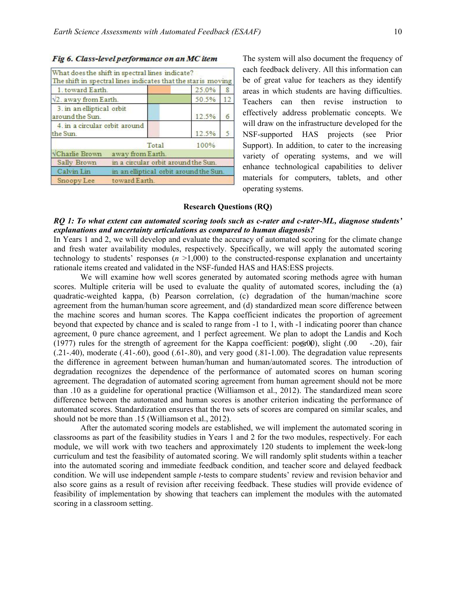### Fig 6. Class-level performance on an MC item

|                                              | What does the shift in spectral lines indicate?               |       |     |
|----------------------------------------------|---------------------------------------------------------------|-------|-----|
|                                              | The shift in spectral lines indicates that the star is moving |       |     |
| 1. toward Earth.                             |                                                               | 25.0% | 8   |
| V <sub>2</sub> . away from Earth.            |                                                               | 50.5% | 12. |
| 3. in an elliptical orbit<br>around the Sun. |                                                               | 12.5% | 6   |
| 4. in a circular orbit around<br>the Sun.    |                                                               | 12.5% |     |
|                                              | Total                                                         | 100%  |     |
| <b>VCharlie Brown</b>                        | away from Earth.                                              |       |     |
| Sally Brown                                  | in a circular orbit around the Sun.                           |       |     |
| Calvin Lin                                   | in an elliptical orbit around the Sun.                        |       |     |
| Snoopy Lee                                   | toward Earth.                                                 |       |     |

The system will also document the frequency of each feedback delivery. All this information can be of great value for teachers as they identify areas in which students are having difficulties. Teachers can then revise instruction to effectively address problematic concepts. We will draw on the infrastructure developed for the NSF-supported HAS projects (see Prior Support). In addition, to cater to the increasing variety of operating systems, and we will enhance technological capabilities to deliver materials for computers, tablets, and other operating systems.

### **Research Questions (RQ)**

## *RQ 1: To what extent can automated scoring tools such as c-rater and c-rater-ML, diagnose students' explanations and uncertainty articulations as compared to human diagnosis?*

In Years 1 and 2, we will develop and evaluate the accuracy of automated scoring for the climate change and fresh water availability modules, respectively. Specifically, we will apply the automated scoring technology to students' responses  $(n > 1,000)$  to the constructed-response explanation and uncertainty rationale items created and validated in the NSF-funded HAS and HAS:ESS projects.

We will examine how well scores generated by automated scoring methods agree with human scores. Multiple criteria will be used to evaluate the quality of automated scores, including the (a) quadratic-weighted kappa, (b) Pearson correlation, (c) degradation of the human/machine score agreement from the human/human score agreement, and (d) standardized mean score difference between the machine scores and human scores. The Kappa coefficient indicates the proportion of agreement beyond that expected by chance and is scaled to range from -1 to 1, with -1 indicating poorer than chance agreement, 0 pure chance agreement, and 1 perfect agreement. We plan to adopt the Landis and Koch (1977) rules for the strength of agreement for the Kappa coefficient:  $poof(0)$ , slight (.00 -.20), fair  $(0.21-0.40)$ , moderate  $(0.41-0.60)$ , good  $(0.61-0.80)$ , and very good  $(0.81-0.100)$ . The degradation value represents the difference in agreement between human/human and human/automated scores. The introduction of degradation recognizes the dependence of the performance of automated scores on human scoring agreement. The degradation of automated scoring agreement from human agreement should not be more than .10 as a guideline for operational practice (Williamson et al., 2012). The standardized mean score difference between the automated and human scores is another criterion indicating the performance of automated scores. Standardization ensures that the two sets of scores are compared on similar scales, and should not be more than .15 (Williamson et al., 2012).

After the automated scoring models are established, we will implement the automated scoring in classrooms as part of the feasibility studies in Years 1 and 2 for the two modules, respectively. For each module, we will work with two teachers and approximately 120 students to implement the week-long curriculum and test the feasibility of automated scoring. We will randomly split students within a teacher into the automated scoring and immediate feedback condition, and teacher score and delayed feedback condition. We will use independent sample *t*-tests to compare students' review and revision behavior and also score gains as a result of revision after receiving feedback. These studies will provide evidence of feasibility of implementation by showing that teachers can implement the modules with the automated scoring in a classroom setting.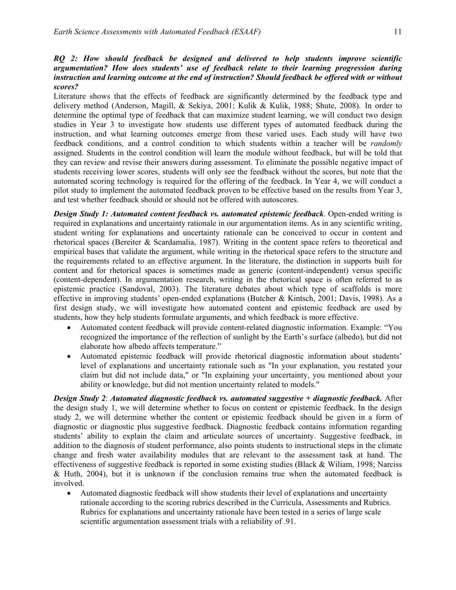# *RQ 2: How should feedback be designed and delivered to help students improve scientific argumentation? How does students' use of feedback relate to their learning progression during instruction and learning outcome at the end of instruction? Should feedback be offered with or without scores?*

Literature shows that the effects of feedback are significantly determined by the feedback type and delivery method (Anderson, Magill, & Sekiya, 2001; Kulik & Kulik, 1988; Shute, 2008). In order to determine the optimal type of feedback that can maximize student learning, we will conduct two design studies in Year 3 to investigate how students use different types of automated feedback during the instruction, and what learning outcomes emerge from these varied uses. Each study will have two feedback conditions, and a control condition to which students within a teacher will be *randomly* assigned. Students in the control condition will learn the module without feedback, but will be told that they can review and revise their answers during assessment. To eliminate the possible negative impact of students receiving lower scores, students will only see the feedback without the scores, but note that the automated scoring technology is required for the offering of the feedback. In Year 4, we will conduct a pilot study to implement the automated feedback proven to be effective based on the results from Year 3, and test whether feedback should or should not be offered with autoscores.

*Design Study 1: Automated content feedback vs. automated epistemic feedback*. Open-ended writing is required in explanations and uncertainty rationale in our argumentation items. As in any scientific writing, student writing for explanations and uncertainty rationale can be conceived to occur in content and rhetorical spaces (Bereiter & Scardamalia, 1987). Writing in the content space refers to theoretical and empirical bases that validate the argument, while writing in the rhetorical space refers to the structure and the requirements related to an effective argument. In the literature, the distinction in supports built for content and for rhetorical spaces is sometimes made as generic (content-independent) versus specific (content-dependent). In argumentation research, writing in the rhetorical space is often referred to as epistemic practice (Sandoval, 2003). The literature debates about which type of scaffolds is more effective in improving students' open-ended explanations (Butcher & Kintsch, 2001; Davis, 1998). As a first design study, we will investigate how automated content and epistemic feedback are used by students, how they help students formulate arguments, and which feedback is more effective.

- Automated content feedback will provide content-related diagnostic information. Example: "You recognized the importance of the reflection of sunlight by the Earth's surface (albedo), but did not elaborate how albedo affects temperature."
- Automated epistemic feedback will provide rhetorical diagnostic information about students' level of explanations and uncertainty rationale such as "In your explanation, you restated your claim but did not include data," or "In explaining your uncertainty, you mentioned about your ability or knowledge, but did not mention uncertainty related to models."

*Design Study 2*: *Automated diagnostic feedback vs. automated suggestive + diagnostic feedback.* After the design study 1, we will determine whether to focus on content or epistemic feedback. In the design study 2, we will determine whether the content or epistemic feedback should be given in a form of diagnostic or diagnostic plus suggestive feedback. Diagnostic feedback contains information regarding students' ability to explain the claim and articulate sources of uncertainty. Suggestive feedback, in addition to the diagnosis of student performance, also points students to instructional steps in the climate change and fresh water availability modules that are relevant to the assessment task at hand. The effectiveness of suggestive feedback is reported in some existing studies (Black & Wiliam, 1998; Narciss & Huth, 2004), but it is unknown if the conclusion remains true when the automated feedback is involved.

Automated diagnostic feedback will show students their level of explanations and uncertainty rationale according to the scoring rubrics described in the Curricula, Assessments and Rubrics. Rubrics for explanations and uncertainty rationale have been tested in a series of large scale scientific argumentation assessment trials with a reliability of .91.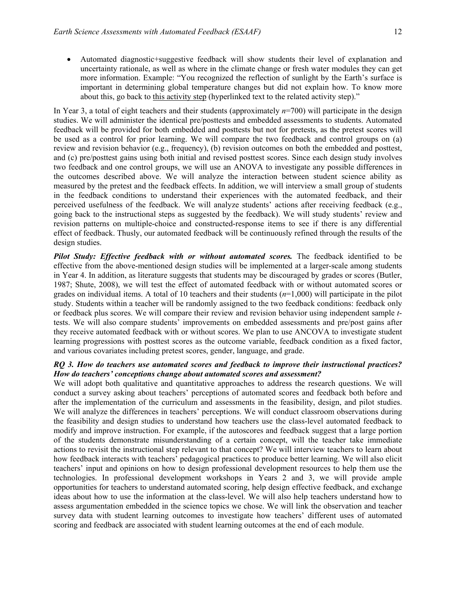- Automated diagnostic+suggestive feedback will show students their level of explanation and
- uncertainty rationale, as well as where in the climate change or fresh water modules they can get more information. Example: "You recognized the reflection of sunlight by the Earth's surface is important in determining global temperature changes but did not explain how. To know more about this, go back to this activity step (hyperlinked text to the related activity step)."

In Year 3, a total of eight teachers and their students (approximately *n*=700) will participate in the design studies. We will administer the identical pre/posttests and embedded assessments to students. Automated feedback will be provided for both embedded and posttests but not for pretests, as the pretest scores will be used as a control for prior learning. We will compare the two feedback and control groups on (a) review and revision behavior (e.g., frequency), (b) revision outcomes on both the embedded and posttest, and (c) pre/posttest gains using both initial and revised posttest scores. Since each design study involves two feedback and one control groups, we will use an ANOVA to investigate any possible differences in the outcomes described above. We will analyze the interaction between student science ability as measured by the pretest and the feedback effects. In addition, we will interview a small group of students in the feedback conditions to understand their experiences with the automated feedback, and their perceived usefulness of the feedback. We will analyze students' actions after receiving feedback (e.g., going back to the instructional steps as suggested by the feedback). We will study students' review and revision patterns on multiple-choice and constructed-response items to see if there is any differential effect of feedback. Thusly, our automated feedback will be continuously refined through the results of the design studies.

*Pilot Study: Effective feedback with or without automated scores.* The feedback identified to be effective from the above-mentioned design studies will be implemented at a larger-scale among students in Year 4. In addition, as literature suggests that students may be discouraged by grades or scores (Butler, 1987; Shute, 2008), we will test the effect of automated feedback with or without automated scores or grades on individual items. A total of 10 teachers and their students (*n*=1,000) will participate in the pilot study. Students within a teacher will be randomly assigned to the two feedback conditions: feedback only or feedback plus scores. We will compare their review and revision behavior using independent sample *t*tests. We will also compare students' improvements on embedded assessments and pre/post gains after they receive automated feedback with or without scores. We plan to use ANCOVA to investigate student learning progressions with posttest scores as the outcome variable, feedback condition as a fixed factor, and various covariates including pretest scores, gender, language, and grade.

# *RQ 3. How do teachers use automated scores and feedback to improve their instructional practices? How do teachers' conceptions change about automated scores and assessment?*

We will adopt both qualitative and quantitative approaches to address the research questions. We will conduct a survey asking about teachers' perceptions of automated scores and feedback both before and after the implementation of the curriculum and assessments in the feasibility, design, and pilot studies. We will analyze the differences in teachers' perceptions. We will conduct classroom observations during the feasibility and design studies to understand how teachers use the class-level automated feedback to modify and improve instruction. For example, if the autoscores and feedback suggest that a large portion of the students demonstrate misunderstanding of a certain concept, will the teacher take immediate actions to revisit the instructional step relevant to that concept? We will interview teachers to learn about how feedback interacts with teachers' pedagogical practices to produce better learning. We will also elicit teachers' input and opinions on how to design professional development resources to help them use the technologies. In professional development workshops in Years 2 and 3, we will provide ample opportunities for teachers to understand automated scoring, help design effective feedback, and exchange ideas about how to use the information at the class-level. We will also help teachers understand how to assess argumentation embedded in the science topics we chose. We will link the observation and teacher survey data with student learning outcomes to investigate how teachers' different uses of automated scoring and feedback are associated with student learning outcomes at the end of each module.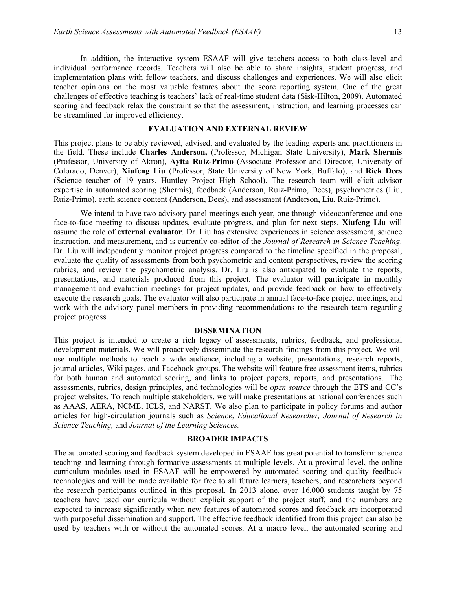In addition, the interactive system ESAAF will give teachers access to both class-level and individual performance records. Teachers will also be able to share insights, student progress, and implementation plans with fellow teachers, and discuss challenges and experiences. We will also elicit teacher opinions on the most valuable features about the score reporting system. One of the great challenges of effective teaching is teachers' lack of real-time student data (Sisk-Hilton, 2009). Automated scoring and feedback relax the constraint so that the assessment, instruction, and learning processes can be streamlined for improved efficiency.

# **EVALUATION AND EXTERNAL REVIEW**

This project plans to be ably reviewed, advised, and evaluated by the leading experts and practitioners in the field. These include **Charles Anderson,** (Professor, Michigan State University), **Mark Shermis** (Professor, University of Akron), **Ayita Ruiz-Primo** (Associate Professor and Director, University of Colorado, Denver), **Xiufeng Liu** (Professor, State University of New York, Buffalo), and **Rick Dees** (Science teacher of 19 years, Huntley Project High School). The research team will elicit advisor expertise in automated scoring (Shermis), feedback (Anderson, Ruiz-Primo, Dees), psychometrics (Liu, Ruiz-Primo), earth science content (Anderson, Dees), and assessment (Anderson, Liu, Ruiz-Primo).

We intend to have two advisory panel meetings each year, one through videoconference and one face-to-face meeting to discuss updates, evaluate progress, and plan for next steps. **Xiufeng Liu** will assume the role of **external evaluator**. Dr. Liu has extensive experiences in science assessment, science instruction, and measurement, and is currently co-editor of the *Journal of Research in Science Teaching*. Dr. Liu will independently monitor project progress compared to the timeline specified in the proposal, evaluate the quality of assessments from both psychometric and content perspectives, review the scoring rubrics, and review the psychometric analysis. Dr. Liu is also anticipated to evaluate the reports, presentations, and materials produced from this project. The evaluator will participate in monthly management and evaluation meetings for project updates, and provide feedback on how to effectively execute the research goals. The evaluator will also participate in annual face-to-face project meetings, and work with the advisory panel members in providing recommendations to the research team regarding project progress.

#### **DISSEMINATION**

This project is intended to create a rich legacy of assessments, rubrics, feedback, and professional development materials. We will proactively disseminate the research findings from this project. We will use multiple methods to reach a wide audience, including a website, presentations, research reports, journal articles, Wiki pages, and Facebook groups. The website will feature free assessment items, rubrics for both human and automated scoring, and links to project papers, reports, and presentations. The assessments, rubrics, design principles, and technologies will be *open source* through the ETS and CC's project websites. To reach multiple stakeholders, we will make presentations at national conferences such as AAAS, AERA, NCME, ICLS, and NARST. We also plan to participate in policy forums and author articles for high-circulation journals such as *Science*, *Educational Researcher, Journal of Research in Science Teaching,* and *Journal of the Learning Sciences.*

## **BROADER IMPACTS**

The automated scoring and feedback system developed in ESAAF has great potential to transform science teaching and learning through formative assessments at multiple levels. At a proximal level, the online curriculum modules used in ESAAF will be empowered by automated scoring and quality feedback technologies and will be made available for free to all future learners, teachers, and researchers beyond the research participants outlined in this proposal. In 2013 alone, over 16,000 students taught by 75 teachers have used our curricula without explicit support of the project staff, and the numbers are expected to increase significantly when new features of automated scores and feedback are incorporated with purposeful dissemination and support. The effective feedback identified from this project can also be used by teachers with or without the automated scores. At a macro level, the automated scoring and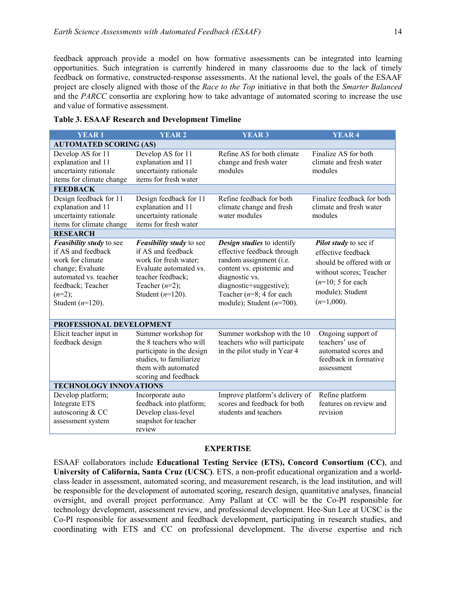feedback approach provide a model on how formative assessments can be integrated into learning opportunities. Such integration is currently hindered in many classrooms due to the lack of timely feedback on formative, constructed-response assessments. At the national level, the goals of the ESAAF project are closely aligned with those of the *Race to the Top* initiative in that both the *Smarter Balanced* and the *PARCC* consortia are exploring how to take advantage of automated scoring to increase the use and value of formative assessment.

| <b>YEAR1</b>                                                                                                                                                                   | <b>YEAR 2</b>                                                                                                                                                             | <b>YEAR 3</b>                                                                                                                                                                                                                        | <b>YEAR 4</b>                                                                                                                                                   |  |  |  |
|--------------------------------------------------------------------------------------------------------------------------------------------------------------------------------|---------------------------------------------------------------------------------------------------------------------------------------------------------------------------|--------------------------------------------------------------------------------------------------------------------------------------------------------------------------------------------------------------------------------------|-----------------------------------------------------------------------------------------------------------------------------------------------------------------|--|--|--|
| <b>AUTOMATED SCORING (AS)</b>                                                                                                                                                  |                                                                                                                                                                           |                                                                                                                                                                                                                                      |                                                                                                                                                                 |  |  |  |
| Develop AS for 11<br>explanation and 11<br>uncertainty rationale<br>items for climate change                                                                                   | Develop AS for 11<br>explanation and 11<br>uncertainty rationale<br>items for fresh water                                                                                 | Refine AS for both climate<br>change and fresh water<br>modules                                                                                                                                                                      | Finalize AS for both<br>climate and fresh water<br>modules                                                                                                      |  |  |  |
| <b>FEEDBACK</b>                                                                                                                                                                |                                                                                                                                                                           |                                                                                                                                                                                                                                      |                                                                                                                                                                 |  |  |  |
| Design feedback for 11<br>explanation and 11<br>uncertainty rationale<br>items for climate change                                                                              | Design feedback for 11<br>explanation and 11<br>uncertainty rationale<br>items for fresh water                                                                            | Refine feedback for both<br>climate change and fresh<br>water modules                                                                                                                                                                | Finalize feedback for both<br>climate and fresh water<br>modules                                                                                                |  |  |  |
| <b>RESEARCH</b>                                                                                                                                                                |                                                                                                                                                                           |                                                                                                                                                                                                                                      |                                                                                                                                                                 |  |  |  |
| <b>Feasibility study to see</b><br>if AS and feedback<br>work for climate<br>change; Evaluate<br>automated vs. teacher<br>feedback; Teacher<br>$(n=2);$<br>Student $(n=120)$ . | <b>Feasibility study to see</b><br>if AS and feedback<br>work for fresh water;<br>Evaluate automated vs.<br>teacher feedback;<br>Teacher $(n=2)$ ;<br>Student $(n=120)$ . | <b>Design studies</b> to identify<br>effective feedback through<br>random assignment (i.e.<br>content vs. epistemic and<br>diagnostic vs.<br>diagnostic+suggestive);<br>Teacher ( $n=8$ ; 4 for each<br>module); Student $(n=700)$ . | Pilot study to see if<br>effective feedback<br>should be offered with or<br>without scores; Teacher<br>$(n=10; 5$ for each<br>module); Student<br>$(n=1,000)$ . |  |  |  |
| PROFESSIONAL DEVELOPMENT                                                                                                                                                       |                                                                                                                                                                           |                                                                                                                                                                                                                                      |                                                                                                                                                                 |  |  |  |
| Elicit teacher input in<br>feedback design                                                                                                                                     | Summer workshop for<br>the 8 teachers who will<br>participate in the design<br>studies, to familiarize<br>them with automated<br>scoring and feedback                     | Summer workshop with the 10<br>teachers who will participate<br>in the pilot study in Year 4                                                                                                                                         | Ongoing support of<br>teachers' use of<br>automated scores and<br>feedback in formative<br>assessment                                                           |  |  |  |
| <b>TECHNOLOGY INNOVATIONS</b>                                                                                                                                                  |                                                                                                                                                                           |                                                                                                                                                                                                                                      |                                                                                                                                                                 |  |  |  |
| Develop platform;<br>Integrate ETS<br>autoscoring & CC<br>assessment system                                                                                                    | Incorporate auto<br>feedback into platform;<br>Develop class-level<br>snapshot for teacher<br>review                                                                      | Improve platform's delivery of<br>scores and feedback for both<br>students and teachers                                                                                                                                              | Refine platform<br>features on review and<br>revision                                                                                                           |  |  |  |

|  |  | <b>Table 3. ESAAF Research and Development Timeline</b> |  |
|--|--|---------------------------------------------------------|--|
|  |  |                                                         |  |

# **EXPERTISE**

ESAAF collaborators include **Educational Testing Service (ETS), Concord Consortium (CC)**, and **University of California, Santa Cruz (UCSC)**. ETS, a non-profit educational organization and a worldclass leader in assessment, automated scoring, and measurement research, is the lead institution, and will be responsible for the development of automated scoring, research design, quantitative analyses, financial oversight, and overall project performance. Amy Pallant at CC will be the Co-PI responsible for technology development, assessment review, and professional development. Hee-Sun Lee at UCSC is the Co-PI responsible for assessment and feedback development, participating in research studies, and coordinating with ETS and CC on professional development. The diverse expertise and rich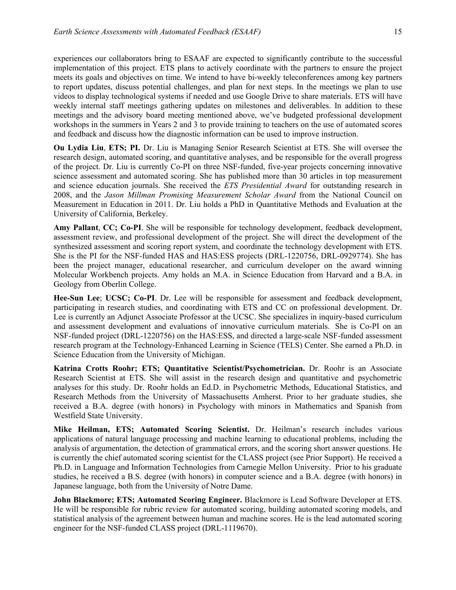experiences our collaborators bring to ESAAF are expected to significantly contribute to the successful implementation of this project. ETS plans to actively coordinate with the partners to ensure the project meets its goals and objectives on time. We intend to have bi-weekly teleconferences among key partners to report updates, discuss potential challenges, and plan for next steps. In the meetings we plan to use videos to display technological systems if needed and use Google Drive to share materials. ETS will have weekly internal staff meetings gathering updates on milestones and deliverables. In addition to these meetings and the advisory board meeting mentioned above, we've budgeted professional development workshops in the summers in Years 2 and 3 to provide training to teachers on the use of automated scores and feedback and discuss how the diagnostic information can be used to improve instruction.

**Ou Lydia Liu**, **ETS; PI.** Dr. Liu is Managing Senior Research Scientist at ETS. She will oversee the research design, automated scoring, and quantitative analyses, and be responsible for the overall progress of the project. Dr. Liu is currently Co-PI on three NSF-funded, five-year projects concerning innovative science assessment and automated scoring. She has published more than 30 articles in top measurement and science education journals. She received the *ETS Presidential Award* for outstanding research in 2008, and the *Jason Millman Promising Measurement Scholar Award* from the National Council on Measurement in Education in 2011. Dr. Liu holds a PhD in Quantitative Methods and Evaluation at the University of California, Berkeley.

**Amy Pallant**, **CC; Co-PI**. She will be responsible for technology development, feedback development, assessment review, and professional development of the project. She will direct the development of the synthesized assessment and scoring report system, and coordinate the technology development with ETS. She is the PI for the NSF-funded HAS and HAS:ESS projects (DRL-1220756, DRL-0929774). She has been the project manager, educational researcher, and curriculum developer on the award winning Molecular Workbench projects. Amy holds an M.A. in Science Education from Harvard and a B.A. in Geology from Oberlin College.

**Hee-Sun Lee**; **UCSC; Co-PI**. Dr. Lee will be responsible for assessment and feedback development, participating in research studies, and coordinating with ETS and CC on professional development. Dr. Lee is currently an Adjunct Associate Professor at the UCSC. She specializes in inquiry-based curriculum and assessment development and evaluations of innovative curriculum materials. She is Co-PI on an NSF-funded project (DRL-1220756) on the HAS:ESS, and directed a large-scale NSF-funded assessment research program at the Technology-Enhanced Learning in Science (TELS) Center. She earned a Ph.D. in Science Education from the University of Michigan.

**Katrina Crotts Roohr; ETS; Quantitative Scientist/Psychometrician.** Dr. Roohr is an Associate Research Scientist at ETS. She will assist in the research design and quantitative and psychometric analyses for this study. Dr. Roohr holds an Ed.D. in Psychometric Methods, Educational Statistics, and Research Methods from the University of Massachusetts Amherst. Prior to her graduate studies, she received a B.A. degree (with honors) in Psychology with minors in Mathematics and Spanish from Westfield State University.

**Mike Heilman, ETS; Automated Scoring Scientist.** Dr. Heilman's research includes various applications of natural language processing and machine learning to educational problems, including the analysis of argumentation, the detection of grammatical errors, and the scoring short answer questions. He is currently the chief automated scoring scientist for the CLASS project (see Prior Support). He received a Ph.D. in Language and Information Technologies from Carnegie Mellon University. Prior to his graduate studies, he received a B.S. degree (with honors) in computer science and a B.A. degree (with honors) in Japanese language, both from the University of Notre Dame.

**John Blackmore; ETS; Automated Scoring Engineer.** Blackmore is Lead Software Developer at ETS. He will be responsible for rubric review for automated scoring, building automated scoring models, and statistical analysis of the agreement between human and machine scores. He is the lead automated scoring engineer for the NSF-funded CLASS project (DRL-1119670).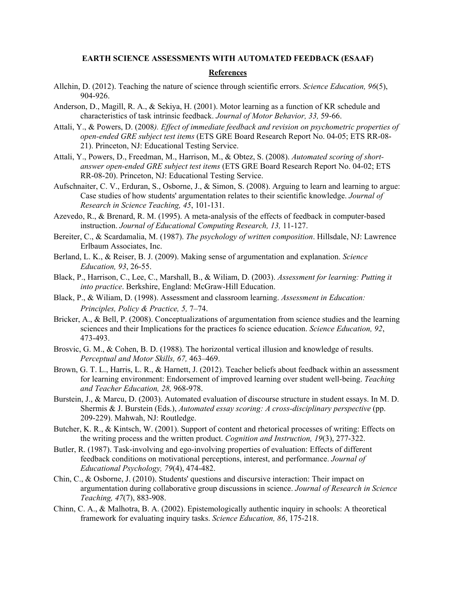### **EARTH SCIENCE ASSESSMENTS WITH AUTOMATED FEEDBACK (ESAAF)**

### **References**

- Allchin, D. (2012). Teaching the nature of science through scientific errors. *Science Education, 96*(5), 904-926.
- Anderson, D., Magill, R. A., & Sekiya, H. (2001). Motor learning as a function of KR schedule and characteristics of task intrinsic feedback. *Journal of Motor Behavior, 33,* 59-66.
- Attali, Y., & Powers, D. (2008*). Effect of immediate feedback and revision on psychometric properties of open-ended GRE subject test items* (ETS GRE Board Research Report No. 04-05; ETS RR-08- 21). Princeton, NJ: Educational Testing Service.
- Attali, Y., Powers, D., Freedman, M., Harrison, M., & Obtez, S. (2008). *Automated scoring of shortanswer open-ended GRE subject test items* (ETS GRE Board Research Report No. 04-02; ETS RR-08-20). Princeton, NJ: Educational Testing Service.
- Aufschnaiter, C. V., Erduran, S., Osborne, J., & Simon, S. (2008). Arguing to learn and learning to argue: Case studies of how students' argumentation relates to their scientific knowledge. *Journal of Research in Science Teaching, 45*, 101-131.
- Azevedo, R., & Brenard, R. M. (1995). A meta-analysis of the effects of feedback in computer-based instruction. *Journal of Educational Computing Research, 13,* 11-127.
- Bereiter, C., & Scardamalia, M. (1987). *The psychology of written composition*. Hillsdale, NJ: Lawrence Erlbaum Associates, Inc.
- Berland, L. K., & Reiser, B. J. (2009). Making sense of argumentation and explanation. *Science Education, 93*, 26-55.
- Black, P., Harrison, C., Lee, C., Marshall, B., & Wiliam, D. (2003). *Assessment for learning: Putting it into practice*. Berkshire, England: McGraw-Hill Education.
- Black, P., & Wiliam, D. (1998). Assessment and classroom learning. *Assessment in Education: Principles, Policy & Practice, 5,* 7–74.
- Bricker, A., & Bell, P. (2008). Conceptualizations of argumentation from science studies and the learning sciences and their Implications for the practices fo science education. *Science Education, 92*, 473-493.
- Brosvic, G. M., & Cohen, B. D. (1988). The horizontal vertical illusion and knowledge of results. *Perceptual and Motor Skills, 67,* 463–469.
- Brown, G. T. L., Harris, L. R., & Harnett, J. (2012). Teacher beliefs about feedback within an assessment for learning environment: Endorsement of improved learning over student well-being. *Teaching and Teacher Education, 28,* 968-978.
- Burstein, J., & Marcu, D. (2003). Automated evaluation of discourse structure in student essays. In M. D. Shermis & J. Burstein (Eds.), *Automated essay scoring: A cross-disciplinary perspective* (pp. 209-229). Mahwah, NJ: Routledge.
- Butcher, K. R., & Kintsch, W. (2001). Support of content and rhetorical processes of writing: Effects on the writing process and the written product. *Cognition and Instruction, 19*(3), 277-322.
- Butler, R. (1987). Task-involving and ego-involving properties of evaluation: Effects of different feedback conditions on motivational perceptions, interest, and performance. *Journal of Educational Psychology, 79*(4), 474-482.
- Chin, C., & Osborne, J. (2010). Students' questions and discursive interaction: Their impact on argumentation during collaborative group discussions in science. *Journal of Research in Science Teaching, 47*(7), 883-908.
- Chinn, C. A., & Malhotra, B. A. (2002). Epistemologically authentic inquiry in schools: A theoretical framework for evaluating inquiry tasks. *Science Education, 86*, 175-218.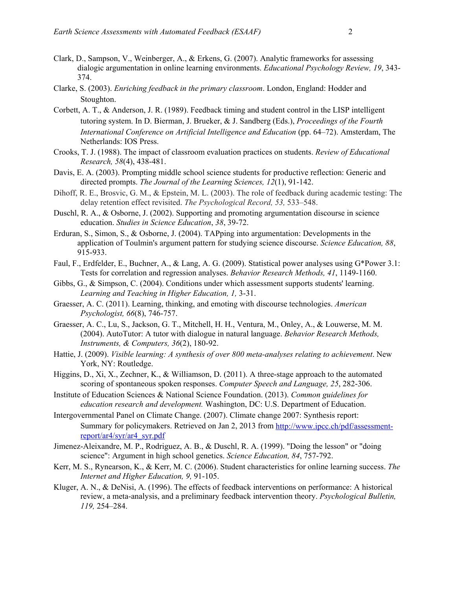- Clark, D., Sampson, V., Weinberger, A., & Erkens, G. (2007). Analytic frameworks for assessing dialogic argumentation in online learning environments. *Educational Psychology Review, 19*, 343- 374.
- Clarke, S. (2003). *Enriching feedback in the primary classroom*. London, England: Hodder and Stoughton.
- Corbett, A. T., & Anderson, J. R. (1989). Feedback timing and student control in the LISP intelligent tutoring system. In D. Bierman, J. Brueker, & J. Sandberg (Eds.), *Proceedings of the Fourth International Conference on Artificial Intelligence and Education* (pp. 64–72). Amsterdam, The Netherlands: IOS Press.
- Crooks, T. J. (1988). The impact of classroom evaluation practices on students. *Review of Educational Research, 58*(4), 438-481.
- Davis, E. A. (2003). Prompting middle school science students for productive reflection: Generic and directed prompts. *The Journal of the Learning Sciences, 12*(1), 91-142.
- Dihoff, R. E., Brosvic, G. M., & Epstein, M. L. (2003). The role of feedback during academic testing: The delay retention effect revisited. *The Psychological Record, 53,* 533–548.
- Duschl, R. A., & Osborne, J. (2002). Supporting and promoting argumentation discourse in science education. *Studies in Science Education*, *38*, 39-72.
- Erduran, S., Simon, S., & Osborne, J. (2004). TAPping into argumentation: Developments in the application of Toulmin's argument pattern for studying science discourse. *Science Education, 88*, 915-933.
- Faul, F., Erdfelder, E., Buchner, A., & Lang, A. G. (2009). Statistical power analyses using G\*Power 3.1: Tests for correlation and regression analyses. *Behavior Research Methods, 41*, 1149-1160.
- Gibbs, G., & Simpson, C. (2004). Conditions under which assessment supports students' learning. *Learning and Teaching in Higher Education, 1,* 3-31.
- Graesser, A. C. (2011). Learning, thinking, and emoting with discourse technologies. *American Psychologist, 66*(8), 746-757.
- Graesser, A. C., Lu, S., Jackson, G. T., Mitchell, H. H., Ventura, M., Onley, A., & Louwerse, M. M. (2004). AutoTutor: A tutor with dialogue in natural language. *Behavior Research Methods, Instruments, & Computers, 36*(2), 180-92.
- Hattie, J. (2009). *Visible learning: A synthesis of over 800 meta-analyses relating to achievement*. New York, NY: Routledge.
- Higgins, D., Xi, X., Zechner, K., & Williamson, D. (2011). A three-stage approach to the automated scoring of spontaneous spoken responses. *Computer Speech and Language, 25*, 282-306.
- Institute of Education Sciences & National Science Foundation. (2013). *Common guidelines for education research and development.* Washington, DC: U.S. Department of Education.
- Intergovernmental Panel on Climate Change. (2007). Climate change 2007: Synthesis report: Summary for policymakers. Retrieved on Jan 2, 2013 from http://www.ipcc.ch/pdf/assessmentreport/ar4/syr/ar4\_syr.pdf
- Jimenez-Aleixandre, M. P., Rodriguez, A. B., & Duschl, R. A. (1999). "Doing the lesson" or "doing science": Argument in high school genetics. *Science Education, 84*, 757-792.
- Kerr, M. S., Rynearson, K., & Kerr, M. C. (2006). Student characteristics for online learning success. *The Internet and Higher Education, 9,* 91-105.
- Kluger, A. N., & DeNisi, A. (1996). The effects of feedback interventions on performance: A historical review, a meta-analysis, and a preliminary feedback intervention theory. *Psychological Bulletin, 119,* 254–284.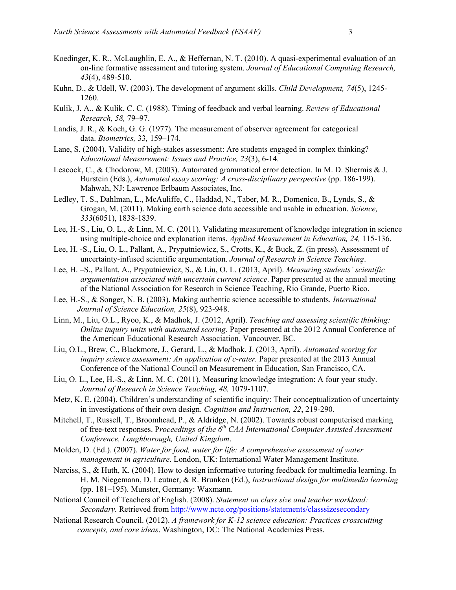- Koedinger, K. R., McLaughlin, E. A., & Heffernan, N. T. (2010). A quasi-experimental evaluation of an on-line formative assessment and tutoring system. *Journal of Educational Computing Research, 43*(4), 489-510.
- Kuhn, D., & Udell, W. (2003). The development of argument skills. *Child Development, 74*(5), 1245- 1260.
- Kulik, J. A., & Kulik, C. C. (1988). Timing of feedback and verbal learning. *Review of Educational Research, 58,* 79–97.
- Landis, J. R., & Koch, G. G. (1977). The measurement of observer agreement for categorical data. *Biometrics,* 33*,* 159–174.
- Lane, S. (2004). Validity of high-stakes assessment: Are students engaged in complex thinking? *Educational Measurement: Issues and Practice, 23*(3), 6-14.
- Leacock, C., & Chodorow, M. (2003). Automated grammatical error detection. In M. D. Shermis & J. Burstein (Eds.), *Automated essay scoring: A cross-disciplinary perspective* (pp. 186-199). Mahwah, NJ: Lawrence Erlbaum Associates, Inc.
- Ledley, T. S., Dahlman, L., McAuliffe, C., Haddad, N., Taber, M. R., Domenico, B., Lynds, S., & Grogan, M. (2011). Making earth science data accessible and usable in education. *Science, 333*(6051), 1838-1839.
- Lee, H.-S., Liu, O. L., & Linn, M. C. (2011). Validating measurement of knowledge integration in science using multiple-choice and explanation items. *Applied Measurement in Education, 24,* 115-136.
- Lee, H. -S., Liu, O. L., Pallant, A., Pryputniewicz, S., Crotts, K., & Buck, Z. (in press). Assessment of uncertainty-infused scientific argumentation. *Journal of Research in Science Teaching*.
- Lee, H. –S., Pallant, A., Pryputniewicz, S., & Liu, O. L. (2013, April). *Measuring students' scientific argumentation associated with uncertain current science*. Paper presented at the annual meeting of the National Association for Research in Science Teaching, Rio Grande, Puerto Rico.
- Lee, H.-S., & Songer, N. B. (2003). Making authentic science accessible to students. *International Journal of Science Education, 25*(8), 923-948.
- Linn, M., Liu, O.L., Ryoo, K., & Madhok, J. (2012, April). *Teaching and assessing scientific thinking: Online inquiry units with automated scoring.* Paper presented at the 2012 Annual Conference of the American Educational Research Association, Vancouver, BC*.*
- Liu, O.L., Brew, C., Blackmore, J., Gerard, L., & Madhok, J. (2013, April). *Automated scoring for inquiry science assessment: An application of c-rater.* Paper presented at the 2013 Annual Conference of the National Council on Measurement in Education*,* San Francisco, CA.
- Liu, O. L., Lee, H.-S., & Linn, M. C. (2011). Measuring knowledge integration: A four year study. *Journal of Research in Science Teaching, 48,* 1079-1107.
- Metz, K. E. (2004). Children's understanding of scientific inquiry: Their conceptualization of uncertainty in investigations of their own design. *Cognition and Instruction, 22*, 219-290.
- Mitchell, T., Russell, T., Broomhead, P., & Aldridge, N. (2002). Towards robust computerised marking of free-text responses. P*roceedings of the 6th CAA International Computer Assisted Assessment Conference, Loughborough, United Kingdom*.
- Molden, D. (Ed.). (2007). *Water for food, water for life: A comprehensive assessment of water management in agriculture*. London, UK: International Water Management Institute.
- Narciss, S., & Huth, K. (2004). How to design informative tutoring feedback for multimedia learning. In H. M. Niegemann, D. Leutner, & R. Brunken (Ed.), *Instructional design for multimedia learning*  (pp. 181–195). Munster, Germany: Waxmann.
- National Council of Teachers of English. (2008). *Statement on class size and teacher workload: Secondary.* Retrieved from http://www.ncte.org/positions/statements/classsizesecondary
- National Research Council. (2012). *A framework for K-12 science education: Practices crosscutting concepts, and core ideas*. Washington, DC: The National Academies Press.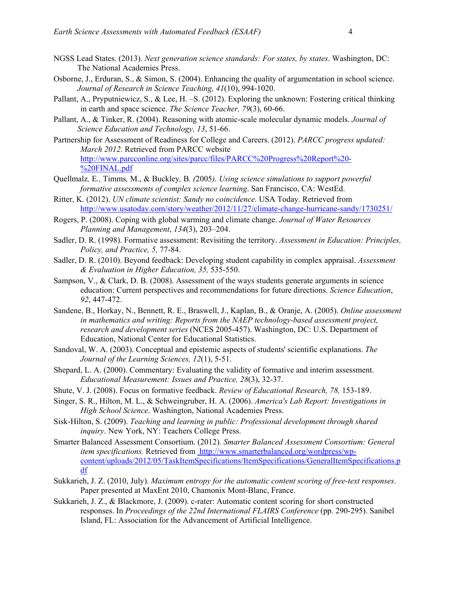- NGSS Lead States. (2013). *Next generation science standards: For states, by states*. Washington, DC: The National Academies Press.
- Osborne, J., Erduran, S., & Simon, S. (2004). Enhancing the quality of argumentation in school science. *Journal of Research in Science Teaching, 41*(10), 994-1020.
- Pallant, A., Pryputniewicz, S., & Lee, H. –S. (2012). Exploring the unknown: Fostering critical thinking in earth and space science. *The Science Teacher, 79*(3), 60-66.
- Pallant, A., & Tinker, R. (2004). Reasoning with atomic-scale molecular dynamic models. *Journal of Science Education and Technology, 13*, 51-66.
- Partnership for Assessment of Readiness for College and Careers. (2012). *PARCC progress updated: March 2012.* Retrieved from PARCC website http://www.parcconline.org/sites/parcc/files/PARCC%20Progress%20Report%20- %20FINAL.pdf
- Quellmalz*,* E*.,* Timms*,* M., & Buckley*,* B*. (*2005*). Using science simulations to support powerful formative assessments of complex science learning*. San Francisco, CA: WestEd.
- Ritter, K. (2012). *UN climate scientist: Sandy no coincidence.* USA Today. Retrieved from http://www.usatoday.com/story/weather/2012/11/27/climate-change-hurricane-sandy/1730251/
- Rogers, P. (2008). Coping with global warming and climate change. *Journal of Water Resources Planning and Management*, *134*(3), 203–204.
- Sadler, D. R. (1998). Formative assessment: Revisiting the territory. *Assessment in Education: Principles, Policy, and Practice, 5,* 77-84.
- Sadler, D. R. (2010). Beyond feedback: Developing student capability in complex appraisal. *Assessment & Evaluation in Higher Education, 35,* 535-550.
- Sampson, V., & Clark, D. B. (2008). Assessment of the ways students generate arguments in science education: Current perspectives and recommendations for future directions. *Science Education*, *92*, 447-472.
- Sandene, B., Horkay, N., Bennett, R. E., Braswell, J., Kaplan, B., & Oranje, A. (2005). *Online assessment in mathematics and writing: Reports from the NAEP technology-based assessment project, research and development series* (NCES 2005-457). Washington, DC: U.S. Department of Education, National Center for Educational Statistics.
- Sandoval, W. A. (2003). Conceptual and epistemic aspects of students' scientific explanations. *The Journal of the Learning Sciences, 12*(1), 5-51.
- Shepard, L. A. (2000). Commentary: Evaluating the validity of formative and interim assessment. *Educational Measurement: Issues and Practice, 28*(3), 32-37.
- Shute, V. J. (2008). Focus on formative feedback. *Review of Educational Research, 78,* 153-189.
- Singer, S. R., Hilton, M. L., & Schweingruber, H. A. (2006). *America's Lab Report: Investigations in High School Science*. Washington, National Academies Press.
- Sisk-Hilton, S. (2009). *Teaching and learning in public: Professional development through shared inquiry*. New York, NY: Teachers College Press.
- Smarter Balanced Assessment Consortium. (2012). *Smarter Balanced Assessment Consortium: General item specifications.* Retrieved from http://www.smarterbalanced.org/wordpress/wpcontent/uploads/2012/05/TaskItemSpecifications/ItemSpecifications/GeneralItemSpecifications.p df
- Sukkarieh, J. Z. (2010, July). *Maximum entropy for the automatic content scoring of free-text responses*. Paper presented at MaxEnt 2010, Chamonix Mont-Blanc, France.
- Sukkarieh, J. Z., & Blackmore, J. (2009). c-rater: Automatic content scoring for short constructed responses. In *Proceedings of the 22nd International FLAIRS Conference* (pp. 290-295). Sanibel Island, FL: Association for the Advancement of Artificial Intelligence.